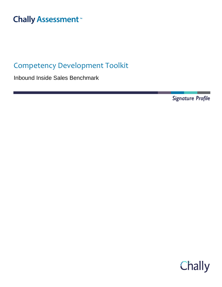# **Chally Assessment**<sup>™</sup>

## Competency Development Toolkit

Inbound Inside Sales Benchmark

Signature Profile

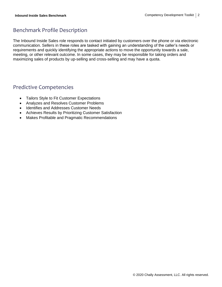## Benchmark Profile Description

The Inbound Inside Sales role responds to contact initiated by customers over the phone or via electronic communication. Sellers in these roles are tasked with gaining an understanding of the caller's needs or requirements and quickly identifying the appropriate actions to move the opportunity towards a sale, meeting, or other relevant outcome. In some cases, they may be responsible for taking orders and maximizing sales of products by up-selling and cross-selling and may have a quota.

## Predictive Competencies

- Tailors Style to Fit Customer Expectations
- Analyzes and Resolves Customer Problems
- Identifies and Addresses Customer Needs
- Achieves Results by Prioritizing Customer Satisfaction
- Makes Profitable and Pragmatic Recommendations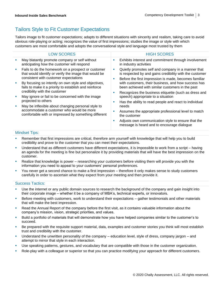## Tailors Style to Fit Customer Expectations

Tailors image to fit customer expectations; adapts to different situations with sincerity and realism, taking care to avoid obvious role-playing or acting; recognizes the value of first impressions; studies the image or style with which customers are most comfortable and adopts the conversational style and language most trusted by them

|   | <b>LOW SCORES</b>                                                                                                                                                             |   | <b>HIGH SCORES</b>                                                                                                                                               |
|---|-------------------------------------------------------------------------------------------------------------------------------------------------------------------------------|---|------------------------------------------------------------------------------------------------------------------------------------------------------------------|
| × | May blatantly promote company or self without<br>anticipating how the customer will respond                                                                                   |   | Exhibits interest and commitment through involvement<br>in industry activities                                                                                   |
| × | Fails to do the homework on a prospect or customer<br>that would identify or verify the image that would be<br>consistent with customer expectations                          |   | Quietly promotes self and company in a manner that<br>is respected by and gains credibility with the customer                                                    |
| × | By focusing so intently on own style and objectives,<br>fails to make it a priority to establish and reinforce                                                                | ш | Before the first impression is made, becomes familiar<br>with customers, their business, and how success has<br>been achieved with similar customers in the past |
| × | credibility with the customer<br>May ignore or fail to be concerned with the image                                                                                            | ш | Recognizes the business etiquette (such as dress and<br>speech) appropriate to a situation                                                                       |
| × | projected to others<br>May be inflexible about changing personal style to<br>accommodate a customer who would be more<br>comfortable with or impressed by something different | п | Has the ability to read people and react to individual<br>needs                                                                                                  |
|   |                                                                                                                                                                               |   | Assumes the appropriate professional level to match<br>the customer                                                                                              |
|   |                                                                                                                                                                               | п | Adjusts own communication style to ensure that the<br>message is heard and to encourage dialogue                                                                 |
|   |                                                                                                                                                                               |   |                                                                                                                                                                  |

## Mindset Tips:

- **EXECT** Remember that first impressions are critical, therefore arm yourself with knowledge that will help you to build credibility and prove to the customer that you can meet their expectations.
- Understand that as different customers have different expectations, it is impossible to work from a script having an agenda for the meeting is fine but personalize it by providing materials that will have the best impression on the customer.
- Realize that knowledge is power researching your customers before visiting them will provide you with the information you need to appeal to your customers' personal preferences.
- You never get a second chance to make a first impression therefore it only makes sense to study customers carefully in order to ascertain what they expect from your meeting and then provide it.

- Use the internet or any public domain sources to research the background of the company and gain insight into their corporate image – whether it be a company of MBA's, technical experts, or innovators.
- Before meeting with customers, work to understand their expectations gather testimonials and other materials that will make the best impression.
- Read the Annual Report of the company before the first visit, as it contains valuable information about the company's mission, vision, strategic priorities, and values.
- Build a portfolio of materials that will demonstrate how you have helped companies similar to the customer's to succeed.
- Be prepared with the requisite support material, data, examples and customer stories you think will most establish trust and credibility with the customer.
- Understand the unwritten personality of the company education level, style of dress, company jargon and attempt to mirror that style in each interaction.
- Use speaking patterns, gestures, and vocabulary that are compatible with those in the customer organization.
- Role-play with a colleague or superior so that you can practice modifying your approach for different customers.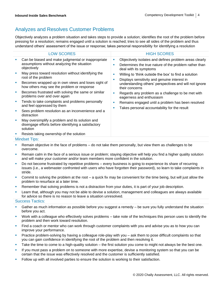## Analyzes and Resolves Customer Problems

Objectively analyzes a problem situation and takes steps to provide a solution; identifies the root of the problem before pressing for a resolution; remains engaged until a solution is reached; tries to see all sides of the problem and thus understand others' assessment of the issue or response; takes personal responsibility for identifying a resolution

|   | <b>LOW SCORES</b>                                                                                                  |                                                                                                                                                                 | <b>HIGH SCORES</b>                                                                                                                        |  |
|---|--------------------------------------------------------------------------------------------------------------------|-----------------------------------------------------------------------------------------------------------------------------------------------------------------|-------------------------------------------------------------------------------------------------------------------------------------------|--|
|   | Can be biased and make judgmental or inappropriate<br>assumptions without analyzing the situation<br>objectively   | ш<br>п                                                                                                                                                          | Objectively isolates and defines problem areas clearly<br>Determines the true nature of the problem rather than<br>deal with its symptoms |  |
| ш | May press toward resolution without identifying the<br>root of the problem                                         | M.                                                                                                                                                              | Willing to 'think outside the box' to find a solution                                                                                     |  |
| × | Becomes wrapped up in own views and loses sight of<br>how others may see the problem or response                   | Displays sensitivity and genuine interest in<br>ш<br>their concerns<br>ш<br>eagerness and enthusiasm<br>M.<br>Takes personal accountability for the result<br>ш | understanding others' perspectives and will not ignore                                                                                    |  |
|   | Becomes frustrated with solving the same or similar<br>problems over and over again                                |                                                                                                                                                                 | Regards any problem as a challenge to be met with                                                                                         |  |
|   | Tends to take complaints and problems personally<br>and feel oppressed by them                                     |                                                                                                                                                                 | Remains engaged until a problem has been resolved                                                                                         |  |
|   | Sees problem resolution as an inconvenience and a<br>distraction                                                   |                                                                                                                                                                 |                                                                                                                                           |  |
| ш | May oversimplify a problem and its solution and<br>disengage efforts before identifying a satisfactory<br>solution |                                                                                                                                                                 |                                                                                                                                           |  |
| × | Resists taking ownership of the solution                                                                           |                                                                                                                                                                 |                                                                                                                                           |  |
|   | <b>Mindset Tips:</b>                                                                                               |                                                                                                                                                                 |                                                                                                                                           |  |

- Remain objective in the face of problems do not take them personally, but view them as challenges to be overcome.
- Remain calm in the face of a serious issue or problem; staying objective will help you find a higher quality solution and will make your customer and/or team members more confident in the solution.
- Do not become frustrated by repetitive problems every business is going to experience its share of recurring issues (i.e., a webmaster confronted with users who have forgotten their password), so learn to take complaints in stride.
- Commit to solving the problem at the root a quick fix may be convenient for the time being, but will just allow the problem to resurface at a later time.
- Remember that solving problems is not a distraction from your duties, it is part of your job description.
- Learn that, although you may not be able to devise a solution, management and colleagues are always available for advice so there is no reason to leave a situation unresolved.

- **EXT** Gather as much information as possible before you suggest a remedy be sure you fully understand the situation before you act.
- Work with a colleague who effectively solves problems take note of the techniques this person uses to identify the problem and then work toward resolution.
- Find a coach or mentor who can work through customer complaints with you and advise you as to how you can improve your performance.
- Practice problem-solving by having a colleague role-play with you ask them to pose difficult complaints so that you can gain confidence in identifying the root of the problem and then resolving it.
- Take the time to come to a high-quality solution the first solution you come to might not always be the best one.
- If you must pass a problem on to someone with more expertise, devise a monitoring system so that you can be certain that the issue was effectively resolved and the customer is sufficiently satisfied.
- Follow up with all involved parties to ensure the solution is working to their satisfaction.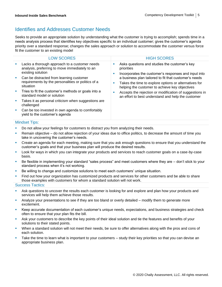## Identifies and Addresses Customer Needs

Seeks to provide an appropriate solution by understanding what the customer is trying to accomplish; spends time in a needs analysis process that identifies key objectives specific to an individual customer; gives the customer's agenda priority over a standard response; changes the sales approach or solution to accommodate the customer versus force fit the customer to an existing model

|                             | <b>LOW SCORES</b>                                                                                                    |         | <b>HIGH SCORES</b>                                                                                                                                               |
|-----------------------------|----------------------------------------------------------------------------------------------------------------------|---------|------------------------------------------------------------------------------------------------------------------------------------------------------------------|
|                             | Lacks a thorough approach to a customer needs<br>analysis, preferring to move immediately to an<br>existing solution | a.<br>ш | Asks questions and studies the customer's key<br>priorities<br>Incorporates the customer's responses and input into                                              |
| <b>SIL</b>                  | Can be distracted from learning customer<br>requirements by the personalities or politics of a<br>situation          | ×       | a business plan tailored to fit that customer's needs<br>Takes the time to explore options or alternatives for<br>helping the customer to achieve key objectives |
| $\mathcal{L}_{\mathcal{A}}$ | Tries to fit the customer's methods or goals into a<br>standard model or solution                                    | ш       | Accepts the rejection or modification of suggestions in<br>an effort to best understand and help the customer                                                    |
|                             | Takes it as personal criticism when suggestions are<br>challenged                                                    |         |                                                                                                                                                                  |
|                             | Can be too invested in own agenda to comfortably<br>yield to the customer's agenda                                   |         |                                                                                                                                                                  |

#### Mindset Tips:

- Do not allow your feelings for customers to distract you from analyzing their needs.
- Remain objective do not allow rejection of your ideas due to office politics, to decrease the amount of time you take in uncovering the customer's needs.
- Create an agenda for each meeting, making sure that you ask enough questions to ensure that you understand the customer's goals and that your business plan will produce the desired results.
- Look for ways in which you can integrate your products and services to reach customer goals on a case-by-case basis.
- Be flexible in implementing your standard "sales process" and meet customers where they are don't stick to your standard process when it's not working.
- Be willing to change and customize solutions to meet each customers' unique situation.
- Find out how your organization has customized products and services for other customers and be able to share those examples with customers for whom a standard solution will not work.

- **Ask questions to uncover the results each customer is looking for and explore and plan how your products and** services will help them achieve those results.
- Analyze your presentations to see if they are too bland or overly detailed modify them to generate more excitement.
- Keep accurate documentation of each customer's unique needs, expectations, and business strategies and check often to ensure that your plan fits the bill.
- Ask your customers to describe the key points of their ideal solution and tie the features and benefits of your solutions to their stated points.
- When a standard solution will not meet their needs, be sure to offer alternatives along with the pros and cons of each solution.
- **EXECT** Take the time to learn what is important to your customers study their key priorities so that you can devise an appropriate business plan.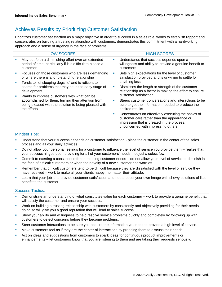## Achieves Results by Prioritizing Customer Satisfaction

Prioritizes customer satisfaction as a major objective in order to succeed in a sales role; works to establish rapport and concentrates on building a trusting relationship with customers; demonstrates this commitment with a hardworking approach and a sense of urgency in the face of problems

|   | <b>LOW SCORES</b>                                                                                                              |          | <b>HIGH SCORES</b>                                                                                                                                                                     |
|---|--------------------------------------------------------------------------------------------------------------------------------|----------|----------------------------------------------------------------------------------------------------------------------------------------------------------------------------------------|
| × | May put forth a diminishing effort over an extended<br>period of time, particularly if it is difficult to please a<br>customer | u.       | Understands that success depends upon a<br>willingness and ability to provide a genuine benefit to<br>customers                                                                        |
| × | Focuses on those customers who are less demanding<br>or where there is a long-standing relationship                            |          | Sets high expectations for the level of customer<br>satisfaction provided and is unwilling to settle for                                                                               |
| × | Tends to 'let sleeping dogs lie' and is reticent to<br>search for problems that may be in the early stage of<br>development    |          | anything less                                                                                                                                                                          |
|   |                                                                                                                                | ш        | Dismisses the length or strength of the customer<br>relationship as a factor in making the effort to ensure<br>customer satisfaction                                                   |
| × | Wants to impress customers with what can be                                                                                    |          |                                                                                                                                                                                        |
|   | accomplished for them, turning their attention from<br>being pleased with the solution to being pleased with<br>the efforts    | <b>I</b> | Steers customer conversations and interactions to be<br>sure to get the information needed to produce the<br>desired results                                                           |
|   |                                                                                                                                | a.       | Concentrates on effectively executing the basics of<br>customer care rather than the appearance or<br>impression that is created in the process;<br>unconcerned with impressing others |
|   |                                                                                                                                |          |                                                                                                                                                                                        |

### Mindset Tips:

- **■** Understand that your success depends on customer satisfaction place the customer in the center of the sales process and all your daily activities.
- **•** Do not allow your personal feelings for a customer to influence the level of service you provide them realize that your success hinges upon providing for all of your customers' needs, not just a select few.
- Commit to exerting a consistent effort in meeting customer needs do not allow your level of service to diminish in the face of difficult customers or when the novelty of a new customer has worn off.
- Remember that difficult customers tend to be difficult because they are dissatisfied with the level of service they have received – work to make all your clients happy, no matter their attitude.
- Learn that your job is to provide customer satisfaction and not to boost your own image with showy solutions of little benefit to the customer.

- Demonstrate an understanding of what constitutes value for each customer work to provide a genuine benefit that will satisfy the customer and ensure your success.
- Work on building a trusting relationship with customers by consistently and objectively providing for their needs doing so will give you a good reputation that will lead to sales success.
- Show your ability and willingness to help resolve service problems quickly and completely by following up with customers to detect concerns before they become problems.
- Steer customer interactions to be sure you acquire the information you need to provide a high level of service.
- Make customers feel as if they are the center of interactions by prodding them to discuss their needs.
- Act on ideas and suggestions from customers to spark ideas for continuous product improvements or enhancements – let customers know that you are listening to them and are taking their requests seriously.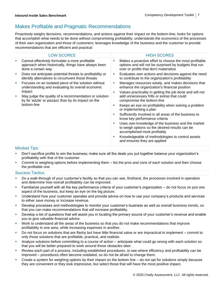## Makes Profitable and Pragmatic Recommendations

Proactively weighs decisions, recommendations, and actions against their impact on the bottom-line; looks for options that accomplish what needs to be done without compromising profitability; understands the economics of the processes of their own organization and those of customers; leverages knowledge of the business and the customer to provide recommendations that are efficient and practical

| <b>LOW SCORES</b><br><b>HIGH SCORES</b><br>Cannot effectively formulate a more profitable<br>Makes a proactive effort to choose the most profitable<br>ш<br>ш<br>options and will not be surprised by budgets that run<br>approach when historically, things have always been<br>over or profits that don't materialize<br>done a certain way<br>Evaluates own actions and decisions against the need<br>Does not anticipate potential threats to profitability or<br>ш<br>identify alternatives to circumvent those threats<br>to contribute to the organization's profitability<br>Manages resources wisely, and makes decisions that<br>Focuses on an isolated piece of the solution without<br>ш<br>ш<br>enhance the organization's financial position<br>understanding and evaluating its overall economic<br>impact<br>Values practicality in getting the job done and will not<br>a.<br>add unnecessary frills or extras that could<br>May judge the quality of a recommendation or solution<br>ш<br>by its 'sizzle' or pizzazz than by its impact on the<br>compromise the bottom-line<br>bottom-line<br>Keeps an eye on profitability when solving a problem<br>п<br>or implementing a plan<br>Sufficiently involved in all areas of the business to<br>ш<br>know key performance criteria<br>Uses own knowledge of the business and the market<br>×<br>to weigh options so the desired results can be<br>accomplished most profitably<br>Knowledgeable of methodologies to control assets<br>ш<br>and ensures they are applied |                                                              |  |
|------------------------------------------------------------------------------------------------------------------------------------------------------------------------------------------------------------------------------------------------------------------------------------------------------------------------------------------------------------------------------------------------------------------------------------------------------------------------------------------------------------------------------------------------------------------------------------------------------------------------------------------------------------------------------------------------------------------------------------------------------------------------------------------------------------------------------------------------------------------------------------------------------------------------------------------------------------------------------------------------------------------------------------------------------------------------------------------------------------------------------------------------------------------------------------------------------------------------------------------------------------------------------------------------------------------------------------------------------------------------------------------------------------------------------------------------------------------------------------------------------------------------------------------|--------------------------------------------------------------|--|
|                                                                                                                                                                                                                                                                                                                                                                                                                                                                                                                                                                                                                                                                                                                                                                                                                                                                                                                                                                                                                                                                                                                                                                                                                                                                                                                                                                                                                                                                                                                                          |                                                              |  |
|                                                                                                                                                                                                                                                                                                                                                                                                                                                                                                                                                                                                                                                                                                                                                                                                                                                                                                                                                                                                                                                                                                                                                                                                                                                                                                                                                                                                                                                                                                                                          |                                                              |  |
|                                                                                                                                                                                                                                                                                                                                                                                                                                                                                                                                                                                                                                                                                                                                                                                                                                                                                                                                                                                                                                                                                                                                                                                                                                                                                                                                                                                                                                                                                                                                          |                                                              |  |
|                                                                                                                                                                                                                                                                                                                                                                                                                                                                                                                                                                                                                                                                                                                                                                                                                                                                                                                                                                                                                                                                                                                                                                                                                                                                                                                                                                                                                                                                                                                                          |                                                              |  |
|                                                                                                                                                                                                                                                                                                                                                                                                                                                                                                                                                                                                                                                                                                                                                                                                                                                                                                                                                                                                                                                                                                                                                                                                                                                                                                                                                                                                                                                                                                                                          |                                                              |  |
|                                                                                                                                                                                                                                                                                                                                                                                                                                                                                                                                                                                                                                                                                                                                                                                                                                                                                                                                                                                                                                                                                                                                                                                                                                                                                                                                                                                                                                                                                                                                          | $M_{\rm{max}}$ and $\sim$ $\sim$ $\sim$ $\sim$ $\sim$ $\sim$ |  |

### Mindset Tips:

- Don't sacrifice profits to win the business; make sure all the deals you put together balance your organization's profitability with that of the customer.
- Commit to weighing options before implementing them list the pros and cons of each solution and then choose the profitable one.

- Do a walk-through of your customer's facility so that you can see, firsthand, the processes involved in operation and determine how overall profitability can be improved.
- **Eamiliarize yourself with all the key performance criteria of your customer's organization do not focus on just one** aspect of the business, but keep an eye on the big picture.
- Understand how your customer operates and provide advice on how to use your company's products and services to either save money or increase revenue.
- Develop processes and methodologies to monitor your customer's business as well as overall business trends, so that you can make recommendations that will increase profitability.
- **EXP** Develop a list of questions that will assist you in locating the primary source of your customer's revenue and enable you to give valuable financial advice.
- Work to understand all the areas of the business so that you do not make recommendations that improve profitability in one area, while increasing expenses in another.
- Do not focus on solutions that are flashy but have little financial value or are impractical to implement commit to only those solutions that are profitable, practical, and realistic.
- **•** Analyze solutions before committing to a course of action anticipate what could go wrong with each solution so that you will be better prepared to work around those obstacles later.
- Review each part of a process, including established procedures, to see where efficiency and profitability can be improved – procedures often become outdated, so do not be afraid to change them.
- Create a system for weighing options by their impact on the bottom line do not opt for solutions simply because they are convenient or they look impressive, but select those that will have the most positive impact.